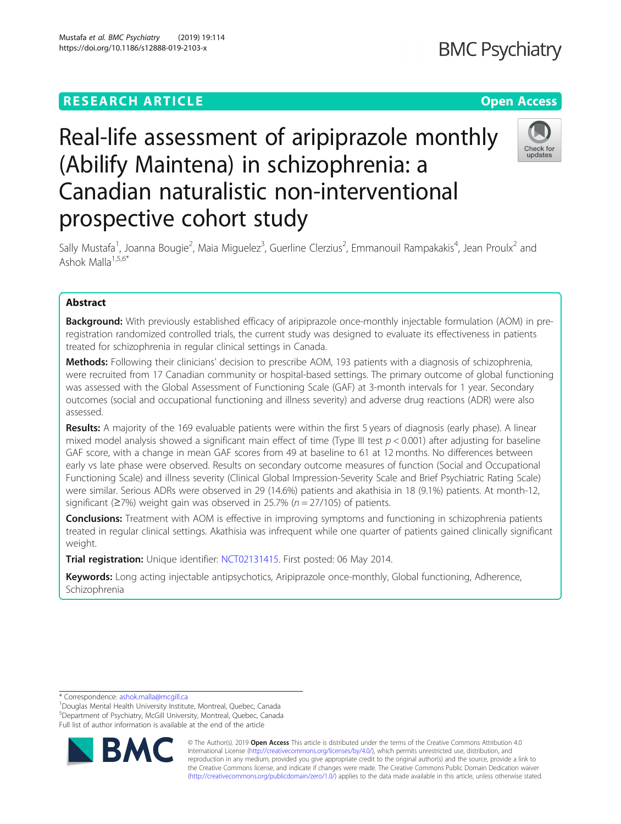**BMC Psychiatry** 

# Real-life assessment of aripiprazole monthly (Abilify Maintena) in schizophrenia: a Canadian naturalistic non-interventional prospective cohort study



Sally Mustafa<sup>1</sup>, Joanna Bougie<sup>2</sup>, Maia Miguelez<sup>3</sup>, Guerline Clerzius<sup>2</sup>, Emmanouil Rampakakis<sup>4</sup>, Jean Proulx<sup>2</sup> and Ashok Malla $1,5,6*$ 

# Abstract

Background: With previously established efficacy of aripiprazole once-monthly injectable formulation (AOM) in preregistration randomized controlled trials, the current study was designed to evaluate its effectiveness in patients treated for schizophrenia in regular clinical settings in Canada.

Methods: Following their clinicians' decision to prescribe AOM, 193 patients with a diagnosis of schizophrenia, were recruited from 17 Canadian community or hospital-based settings. The primary outcome of global functioning was assessed with the Global Assessment of Functioning Scale (GAF) at 3-month intervals for 1 year. Secondary outcomes (social and occupational functioning and illness severity) and adverse drug reactions (ADR) were also assessed.

Results: A majority of the 169 evaluable patients were within the first 5 years of diagnosis (early phase). A linear mixed model analysis showed a significant main effect of time (Type III test  $p < 0.001$ ) after adjusting for baseline GAF score, with a change in mean GAF scores from 49 at baseline to 61 at 12 months. No differences between early vs late phase were observed. Results on secondary outcome measures of function (Social and Occupational Functioning Scale) and illness severity (Clinical Global Impression-Severity Scale and Brief Psychiatric Rating Scale) were similar. Serious ADRs were observed in 29 (14.6%) patients and akathisia in 18 (9.1%) patients. At month-12, significant ( $\geq$ 7%) weight gain was observed in 25.7% ( $n = 27/105$ ) of patients.

**Conclusions:** Treatment with AOM is effective in improving symptoms and functioning in schizophrenia patients treated in regular clinical settings. Akathisia was infrequent while one quarter of patients gained clinically significant weight.

**Trial registration:** Unique identifier: [NCT02131415](https://clinicaltrials.gov/ct2/show/NCT02131415). First posted: 06 May 2014.

Keywords: Long acting injectable antipsychotics, Aripiprazole once-monthly, Global functioning, Adherence, Schizophrenia

\* Correspondence: [ashok.malla@mcgill.ca](mailto:ashok.malla@mcgill.ca) <sup>1</sup>

<sup>1</sup>Douglas Mental Health University Institute, Montreal, Quebec, Canada 5 Department of Psychiatry, McGill University, Montreal, Quebec, Canada Full list of author information is available at the end of the article



© The Author(s). 2019 **Open Access** This article is distributed under the terms of the Creative Commons Attribution 4.0 International License [\(http://creativecommons.org/licenses/by/4.0/](http://creativecommons.org/licenses/by/4.0/)), which permits unrestricted use, distribution, and reproduction in any medium, provided you give appropriate credit to the original author(s) and the source, provide a link to the Creative Commons license, and indicate if changes were made. The Creative Commons Public Domain Dedication waiver [\(http://creativecommons.org/publicdomain/zero/1.0/](http://creativecommons.org/publicdomain/zero/1.0/)) applies to the data made available in this article, unless otherwise stated.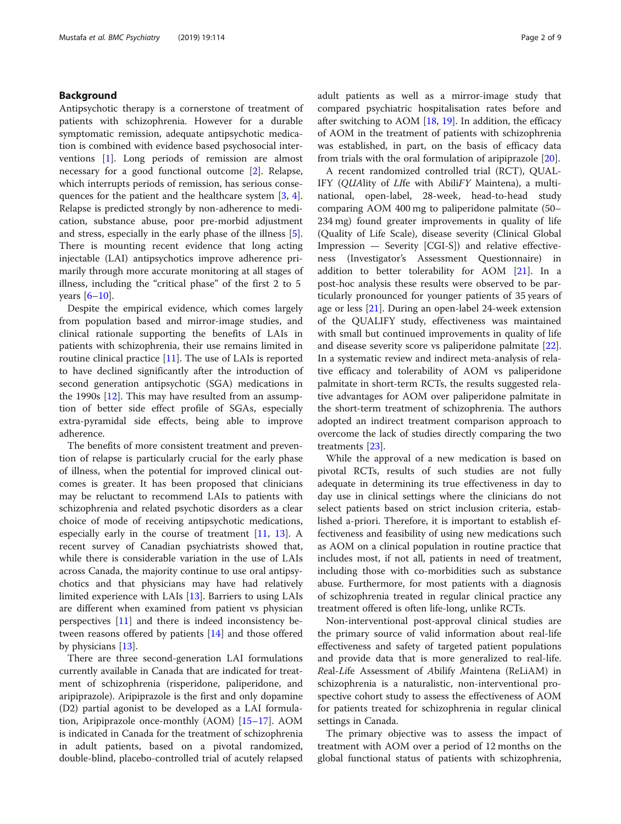# Background

Antipsychotic therapy is a cornerstone of treatment of patients with schizophrenia. However for a durable symptomatic remission, adequate antipsychotic medication is combined with evidence based psychosocial interventions [\[1](#page-8-0)]. Long periods of remission are almost necessary for a good functional outcome [\[2](#page-8-0)]. Relapse, which interrupts periods of remission, has serious consequences for the patient and the healthcare system [[3,](#page-8-0) [4](#page-8-0)]. Relapse is predicted strongly by non-adherence to medication, substance abuse, poor pre-morbid adjustment and stress, especially in the early phase of the illness [\[5](#page-8-0)]. There is mounting recent evidence that long acting injectable (LAI) antipsychotics improve adherence primarily through more accurate monitoring at all stages of illness, including the "critical phase" of the first 2 to 5 years  $[6-10]$  $[6-10]$  $[6-10]$  $[6-10]$ .

Despite the empirical evidence, which comes largely from population based and mirror-image studies, and clinical rationale supporting the benefits of LAIs in patients with schizophrenia, their use remains limited in routine clinical practice [\[11](#page-8-0)]. The use of LAIs is reported to have declined significantly after the introduction of second generation antipsychotic (SGA) medications in the 1990s [[12](#page-8-0)]. This may have resulted from an assumption of better side effect profile of SGAs, especially extra-pyramidal side effects, being able to improve adherence.

The benefits of more consistent treatment and prevention of relapse is particularly crucial for the early phase of illness, when the potential for improved clinical outcomes is greater. It has been proposed that clinicians may be reluctant to recommend LAIs to patients with schizophrenia and related psychotic disorders as a clear choice of mode of receiving antipsychotic medications, especially early in the course of treatment [[11,](#page-8-0) [13\]](#page-8-0). A recent survey of Canadian psychiatrists showed that, while there is considerable variation in the use of LAIs across Canada, the majority continue to use oral antipsychotics and that physicians may have had relatively limited experience with LAIs [[13](#page-8-0)]. Barriers to using LAIs are different when examined from patient vs physician perspectives [[11\]](#page-8-0) and there is indeed inconsistency between reasons offered by patients [[14\]](#page-8-0) and those offered by physicians [\[13\]](#page-8-0).

There are three second-generation LAI formulations currently available in Canada that are indicated for treatment of schizophrenia (risperidone, paliperidone, and aripiprazole). Aripiprazole is the first and only dopamine (D2) partial agonist to be developed as a LAI formulation, Aripiprazole once-monthly (AOM) [[15](#page-8-0)–[17](#page-8-0)]. AOM is indicated in Canada for the treatment of schizophrenia in adult patients, based on a pivotal randomized, double-blind, placebo-controlled trial of acutely relapsed adult patients as well as a mirror-image study that compared psychiatric hospitalisation rates before and after switching to AOM  $[18, 19]$  $[18, 19]$  $[18, 19]$ . In addition, the efficacy of AOM in the treatment of patients with schizophrenia was established, in part, on the basis of efficacy data from trials with the oral formulation of aripiprazole [\[20](#page-8-0)].

A recent randomized controlled trial (RCT), QUAL-IFY (QUAlity of LIfe with AbiliFY Maintena), a multinational, open-label, 28-week, head-to-head study comparing AOM 400 mg to paliperidone palmitate (50– 234 mg) found greater improvements in quality of life (Quality of Life Scale), disease severity (Clinical Global Impression — Severity [CGI-S]) and relative effectiveness (Investigator's Assessment Questionnaire) in addition to better tolerability for AOM [[21\]](#page-8-0). In a post-hoc analysis these results were observed to be particularly pronounced for younger patients of 35 years of age or less [[21\]](#page-8-0). During an open-label 24-week extension of the QUALIFY study, effectiveness was maintained with small but continued improvements in quality of life and disease severity score vs paliperidone palmitate [\[22](#page-8-0)]. In a systematic review and indirect meta-analysis of relative efficacy and tolerability of AOM vs paliperidone palmitate in short-term RCTs, the results suggested relative advantages for AOM over paliperidone palmitate in the short-term treatment of schizophrenia. The authors adopted an indirect treatment comparison approach to overcome the lack of studies directly comparing the two treatments [[23\]](#page-8-0).

While the approval of a new medication is based on pivotal RCTs, results of such studies are not fully adequate in determining its true effectiveness in day to day use in clinical settings where the clinicians do not select patients based on strict inclusion criteria, established a-priori. Therefore, it is important to establish effectiveness and feasibility of using new medications such as AOM on a clinical population in routine practice that includes most, if not all, patients in need of treatment, including those with co-morbidities such as substance abuse. Furthermore, for most patients with a diagnosis of schizophrenia treated in regular clinical practice any treatment offered is often life-long, unlike RCTs.

Non-interventional post-approval clinical studies are the primary source of valid information about real-life effectiveness and safety of targeted patient populations and provide data that is more generalized to real-life. Real-Life Assessment of Abilify Maintena (ReLiAM) in schizophrenia is a naturalistic, non-interventional prospective cohort study to assess the effectiveness of AOM for patients treated for schizophrenia in regular clinical settings in Canada.

The primary objective was to assess the impact of treatment with AOM over a period of 12 months on the global functional status of patients with schizophrenia,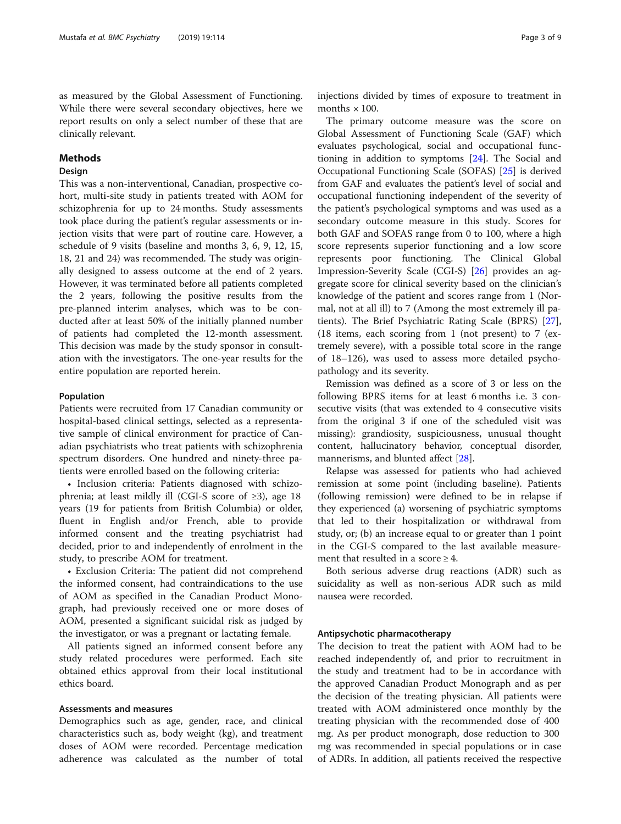as measured by the Global Assessment of Functioning. While there were several secondary objectives, here we report results on only a select number of these that are clinically relevant.

# Methods

# Design

This was a non-interventional, Canadian, prospective cohort, multi-site study in patients treated with AOM for schizophrenia for up to 24 months. Study assessments took place during the patient's regular assessments or injection visits that were part of routine care. However, a schedule of 9 visits (baseline and months 3, 6, 9, 12, 15, 18, 21 and 24) was recommended. The study was originally designed to assess outcome at the end of 2 years. However, it was terminated before all patients completed the 2 years, following the positive results from the pre-planned interim analyses, which was to be conducted after at least 50% of the initially planned number of patients had completed the 12-month assessment. This decision was made by the study sponsor in consultation with the investigators. The one-year results for the entire population are reported herein.

#### Population

Patients were recruited from 17 Canadian community or hospital-based clinical settings, selected as a representative sample of clinical environment for practice of Canadian psychiatrists who treat patients with schizophrenia spectrum disorders. One hundred and ninety-three patients were enrolled based on the following criteria:

• Inclusion criteria: Patients diagnosed with schizophrenia; at least mildly ill (CGI-S score of  $\geq 3$ ), age 18 years (19 for patients from British Columbia) or older, fluent in English and/or French, able to provide informed consent and the treating psychiatrist had decided, prior to and independently of enrolment in the study, to prescribe AOM for treatment.

• Exclusion Criteria: The patient did not comprehend the informed consent, had contraindications to the use of AOM as specified in the Canadian Product Monograph, had previously received one or more doses of AOM, presented a significant suicidal risk as judged by the investigator, or was a pregnant or lactating female.

All patients signed an informed consent before any study related procedures were performed. Each site obtained ethics approval from their local institutional ethics board.

# Assessments and measures

Demographics such as age, gender, race, and clinical characteristics such as, body weight (kg), and treatment doses of AOM were recorded. Percentage medication adherence was calculated as the number of total

injections divided by times of exposure to treatment in months  $\times$  100.

The primary outcome measure was the score on Global Assessment of Functioning Scale (GAF) which evaluates psychological, social and occupational functioning in addition to symptoms [\[24](#page-8-0)]. The Social and Occupational Functioning Scale (SOFAS) [\[25](#page-8-0)] is derived from GAF and evaluates the patient's level of social and occupational functioning independent of the severity of the patient's psychological symptoms and was used as a secondary outcome measure in this study. Scores for both GAF and SOFAS range from 0 to 100, where a high score represents superior functioning and a low score represents poor functioning. The Clinical Global Impression-Severity Scale (CGI-S) [\[26\]](#page-8-0) provides an aggregate score for clinical severity based on the clinician's knowledge of the patient and scores range from 1 (Normal, not at all ill) to 7 (Among the most extremely ill patients). The Brief Psychiatric Rating Scale (BPRS) [\[27](#page-8-0)], (18 items, each scoring from 1 (not present) to 7 (extremely severe), with a possible total score in the range of 18–126), was used to assess more detailed psychopathology and its severity.

Remission was defined as a score of 3 or less on the following BPRS items for at least 6 months i.e. 3 consecutive visits (that was extended to 4 consecutive visits from the original 3 if one of the scheduled visit was missing): grandiosity, suspiciousness, unusual thought content, hallucinatory behavior, conceptual disorder, mannerisms, and blunted affect [\[28](#page-8-0)].

Relapse was assessed for patients who had achieved remission at some point (including baseline). Patients (following remission) were defined to be in relapse if they experienced (a) worsening of psychiatric symptoms that led to their hospitalization or withdrawal from study, or; (b) an increase equal to or greater than 1 point in the CGI-S compared to the last available measurement that resulted in a score  $\geq 4$ .

Both serious adverse drug reactions (ADR) such as suicidality as well as non-serious ADR such as mild nausea were recorded.

#### Antipsychotic pharmacotherapy

The decision to treat the patient with AOM had to be reached independently of, and prior to recruitment in the study and treatment had to be in accordance with the approved Canadian Product Monograph and as per the decision of the treating physician. All patients were treated with AOM administered once monthly by the treating physician with the recommended dose of 400 mg. As per product monograph, dose reduction to 300 mg was recommended in special populations or in case of ADRs. In addition, all patients received the respective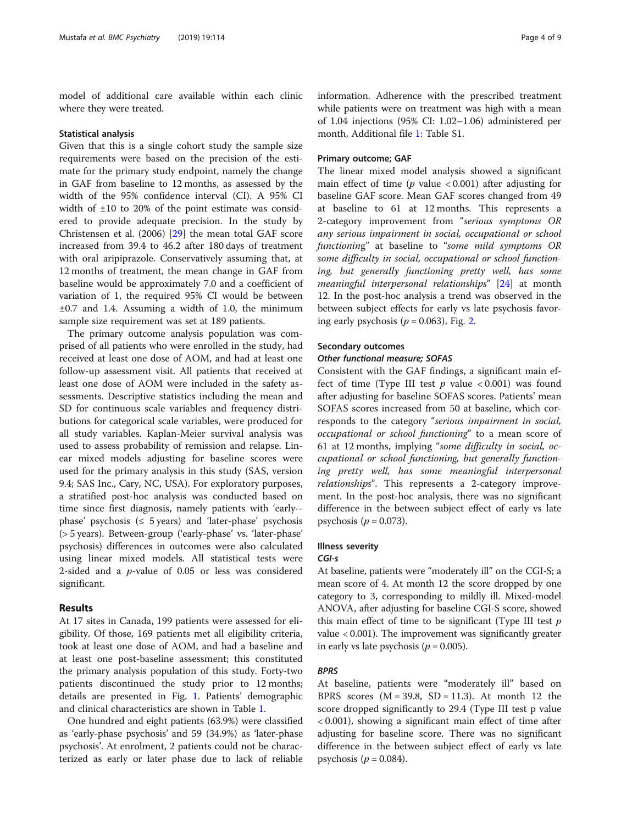model of additional care available within each clinic where they were treated.

#### Statistical analysis

Given that this is a single cohort study the sample size requirements were based on the precision of the estimate for the primary study endpoint, namely the change in GAF from baseline to 12 months, as assessed by the width of the 95% confidence interval (CI). A 95% CI width of ±10 to 20% of the point estimate was considered to provide adequate precision. In the study by Christensen et al. (2006) [\[29](#page-8-0)] the mean total GAF score increased from 39.4 to 46.2 after 180 days of treatment with oral aripiprazole. Conservatively assuming that, at 12 months of treatment, the mean change in GAF from baseline would be approximately 7.0 and a coefficient of variation of 1, the required 95% CI would be between  $\pm 0.7$  and 1.4. Assuming a width of 1.0, the minimum sample size requirement was set at 189 patients.

The primary outcome analysis population was comprised of all patients who were enrolled in the study, had received at least one dose of AOM, and had at least one follow-up assessment visit. All patients that received at least one dose of AOM were included in the safety assessments. Descriptive statistics including the mean and SD for continuous scale variables and frequency distributions for categorical scale variables, were produced for all study variables. Kaplan-Meier survival analysis was used to assess probability of remission and relapse. Linear mixed models adjusting for baseline scores were used for the primary analysis in this study (SAS, version 9.4; SAS Inc., Cary, NC, USA). For exploratory purposes, a stratified post-hoc analysis was conducted based on time since first diagnosis, namely patients with 'early- phase' psychosis ( $\leq$  5 years) and 'later-phase' psychosis (> 5 years). Between-group ('early-phase' vs. 'later-phase' psychosis) differences in outcomes were also calculated using linear mixed models. All statistical tests were 2-sided and a p-value of 0.05 or less was considered significant.

# Results

At 17 sites in Canada, 199 patients were assessed for eligibility. Of those, 169 patients met all eligibility criteria, took at least one dose of AOM, and had a baseline and at least one post-baseline assessment; this constituted the primary analysis population of this study. Forty-two patients discontinued the study prior to 12 months; details are presented in Fig. [1.](#page-4-0) Patients' demographic and clinical characteristics are shown in Table [1](#page-5-0).

One hundred and eight patients (63.9%) were classified as 'early-phase psychosis' and 59 (34.9%) as 'later-phase psychosis'. At enrolment, 2 patients could not be characterized as early or later phase due to lack of reliable information. Adherence with the prescribed treatment while patients were on treatment was high with a mean of 1.04 injections (95% CI: 1.02–1.06) administered per month, Additional file [1](#page-7-0): Table S1.

#### Primary outcome; GAF

The linear mixed model analysis showed a significant main effect of time ( $p$  value  $\lt$  0.001) after adjusting for baseline GAF score. Mean GAF scores changed from 49 at baseline to 61 at 12 months. This represents a 2-category improvement from "serious symptoms OR any serious impairment in social, occupational or school functioning" at baseline to "some mild symptoms OR some difficulty in social, occupational or school functioning, but generally functioning pretty well, has some meaningful interpersonal relationships" [\[24](#page-8-0)] at month 12. In the post-hoc analysis a trend was observed in the between subject effects for early vs late psychosis favoring early psychosis ( $p = 0.063$ ), Fig. [2](#page-6-0).

# Secondary outcomes

#### Other functional measure; SOFAS

Consistent with the GAF findings, a significant main effect of time (Type III test  $p$  value  $\langle 0.001 \rangle$  was found after adjusting for baseline SOFAS scores. Patients' mean SOFAS scores increased from 50 at baseline, which corresponds to the category "serious impairment in social, occupational or school functioning" to a mean score of 61 at 12 months, implying "some difficulty in social, occupational or school functioning, but generally functioning pretty well, has some meaningful interpersonal relationships". This represents a 2-category improvement. In the post-hoc analysis, there was no significant difference in the between subject effect of early vs late psychosis ( $p = 0.073$ ).

#### Illness severity

#### CGI-s

At baseline, patients were "moderately ill" on the CGI-S; a mean score of 4. At month 12 the score dropped by one category to 3, corresponding to mildly ill. Mixed-model ANOVA, after adjusting for baseline CGI-S score, showed this main effect of time to be significant (Type III test  $p$ value < 0.001). The improvement was significantly greater in early vs late psychosis ( $p = 0.005$ ).

#### BPRS

At baseline, patients were "moderately ill" based on BPRS scores  $(M = 39.8, SD = 11.3)$ . At month 12 the score dropped significantly to 29.4 (Type III test p value < 0.001), showing a significant main effect of time after adjusting for baseline score. There was no significant difference in the between subject effect of early vs late psychosis ( $p = 0.084$ ).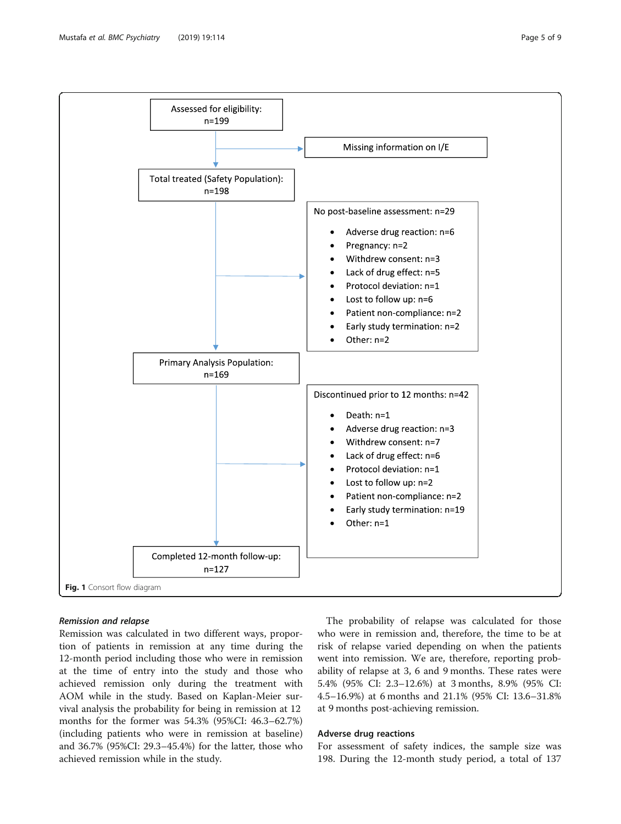<span id="page-4-0"></span>

#### Remission and relapse

Remission was calculated in two different ways, proportion of patients in remission at any time during the 12-month period including those who were in remission at the time of entry into the study and those who achieved remission only during the treatment with AOM while in the study. Based on Kaplan-Meier survival analysis the probability for being in remission at 12 months for the former was 54.3% (95%CI: 46.3–62.7%) (including patients who were in remission at baseline) and 36.7% (95%CI: 29.3–45.4%) for the latter, those who achieved remission while in the study.

The probability of relapse was calculated for those who were in remission and, therefore, the time to be at risk of relapse varied depending on when the patients went into remission. We are, therefore, reporting probability of relapse at 3, 6 and 9 months. These rates were 5.4% (95% CI: 2.3–12.6%) at 3 months, 8.9% (95% CI: 4.5–16.9%) at 6 months and 21.1% (95% CI: 13.6–31.8% at 9 months post-achieving remission.

# Adverse drug reactions

For assessment of safety indices, the sample size was 198. During the 12-month study period, a total of 137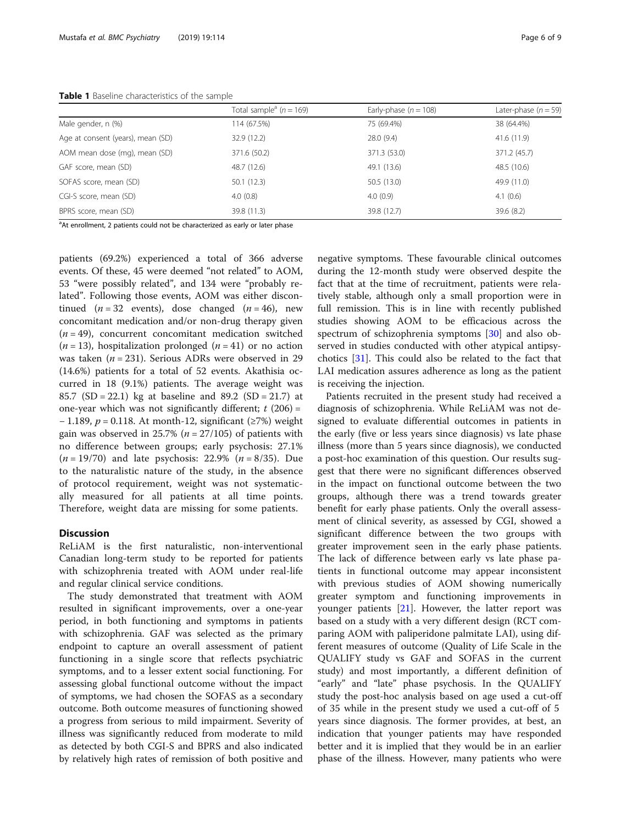<span id="page-5-0"></span>

|                                   | Total sample <sup>a</sup> ( $n = 169$ ) | Early-phase $(n = 108)$ | Later-phase $(n = 59)$ |
|-----------------------------------|-----------------------------------------|-------------------------|------------------------|
| Male gender, n (%)                | 114 (67.5%)                             | 75 (69.4%)              | 38 (64.4%)             |
| Age at consent (years), mean (SD) | 32.9 (12.2)                             | 28.0 (9.4)              | 41.6 (11.9)            |
| AOM mean dose (mg), mean (SD)     | 371.6 (50.2)                            | 371.3 (53.0)            | 371.2 (45.7)           |
| GAF score, mean (SD)              | 48.7 (12.6)                             | 49.1 (13.6)             | 48.5 (10.6)            |
| SOFAS score, mean (SD)            | 50.1(12.3)                              | 50.5 (13.0)             | 49.9 (11.0)            |
| CGI-S score, mean (SD)            | 4.0(0.8)                                | 4.0(0.9)                | 4.1(0.6)               |
| BPRS score, mean (SD)             | 39.8 (11.3)                             | 39.8 (12.7)             | 39.6(8.2)              |

<sup>a</sup>At enrollment, 2 patients could not be characterized as early or later phase

patients (69.2%) experienced a total of 366 adverse events. Of these, 45 were deemed "not related" to AOM, 53 "were possibly related", and 134 were "probably related". Following those events, AOM was either discontinued ( $n = 32$  events), dose changed ( $n = 46$ ), new concomitant medication and/or non-drug therapy given  $(n = 49)$ , concurrent concomitant medication switched  $(n = 13)$ , hospitalization prolonged  $(n = 41)$  or no action was taken ( $n = 231$ ). Serious ADRs were observed in 29 (14.6%) patients for a total of 52 events. Akathisia occurred in 18 (9.1%) patients. The average weight was 85.7 (SD = 22.1) kg at baseline and 89.2 (SD = 21.7) at one-year which was not significantly different;  $t(206) =$ − 1.189, p = 0.118. At month-12, significant (≥7%) weight gain was observed in 25.7% ( $n = 27/105$ ) of patients with no difference between groups; early psychosis: 27.1%  $(n = 19/70)$  and late psychosis: 22.9%  $(n = 8/35)$ . Due to the naturalistic nature of the study, in the absence of protocol requirement, weight was not systematically measured for all patients at all time points. Therefore, weight data are missing for some patients.

# **Discussion**

ReLiAM is the first naturalistic, non-interventional Canadian long-term study to be reported for patients with schizophrenia treated with AOM under real-life and regular clinical service conditions.

The study demonstrated that treatment with AOM resulted in significant improvements, over a one-year period, in both functioning and symptoms in patients with schizophrenia. GAF was selected as the primary endpoint to capture an overall assessment of patient functioning in a single score that reflects psychiatric symptoms, and to a lesser extent social functioning. For assessing global functional outcome without the impact of symptoms, we had chosen the SOFAS as a secondary outcome. Both outcome measures of functioning showed a progress from serious to mild impairment. Severity of illness was significantly reduced from moderate to mild as detected by both CGI-S and BPRS and also indicated by relatively high rates of remission of both positive and negative symptoms. These favourable clinical outcomes during the 12-month study were observed despite the fact that at the time of recruitment, patients were relatively stable, although only a small proportion were in full remission. This is in line with recently published studies showing AOM to be efficacious across the spectrum of schizophrenia symptoms [[30\]](#page-8-0) and also observed in studies conducted with other atypical antipsychotics [[31\]](#page-8-0). This could also be related to the fact that LAI medication assures adherence as long as the patient is receiving the injection.

Patients recruited in the present study had received a diagnosis of schizophrenia. While ReLiAM was not designed to evaluate differential outcomes in patients in the early (five or less years since diagnosis) vs late phase illness (more than 5 years since diagnosis), we conducted a post-hoc examination of this question. Our results suggest that there were no significant differences observed in the impact on functional outcome between the two groups, although there was a trend towards greater benefit for early phase patients. Only the overall assessment of clinical severity, as assessed by CGI, showed a significant difference between the two groups with greater improvement seen in the early phase patients. The lack of difference between early vs late phase patients in functional outcome may appear inconsistent with previous studies of AOM showing numerically greater symptom and functioning improvements in younger patients [[21\]](#page-8-0). However, the latter report was based on a study with a very different design (RCT comparing AOM with paliperidone palmitate LAI), using different measures of outcome (Quality of Life Scale in the QUALIFY study vs GAF and SOFAS in the current study) and most importantly, a different definition of "early" and "late" phase psychosis. In the QUALIFY study the post-hoc analysis based on age used a cut-off of 35 while in the present study we used a cut-off of 5 years since diagnosis. The former provides, at best, an indication that younger patients may have responded better and it is implied that they would be in an earlier phase of the illness. However, many patients who were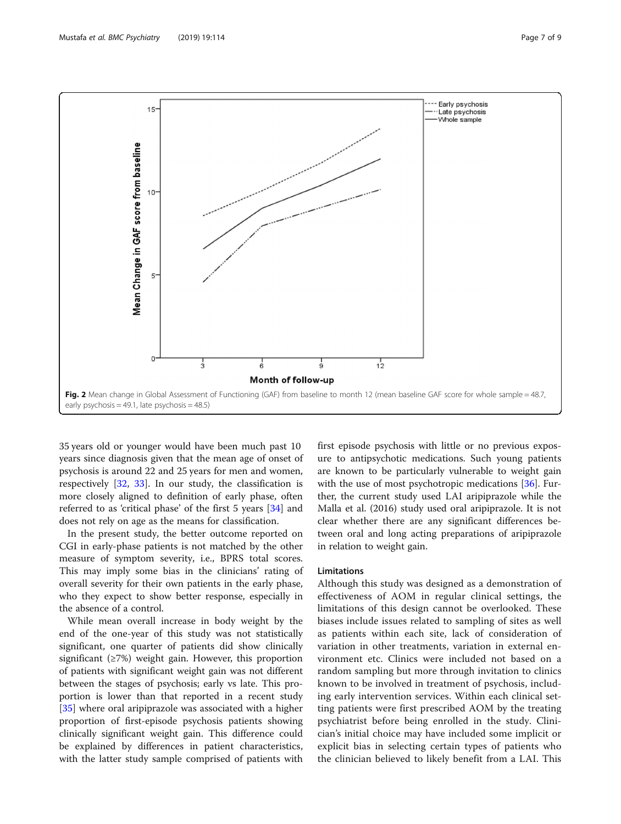<span id="page-6-0"></span>

35 years old or younger would have been much past 10 years since diagnosis given that the mean age of onset of psychosis is around 22 and 25 years for men and women, respectively [\[32,](#page-8-0) [33\]](#page-8-0). In our study, the classification is more closely aligned to definition of early phase, often referred to as 'critical phase' of the first 5 years [\[34\]](#page-8-0) and does not rely on age as the means for classification.

In the present study, the better outcome reported on CGI in early-phase patients is not matched by the other measure of symptom severity, i.e., BPRS total scores. This may imply some bias in the clinicians' rating of overall severity for their own patients in the early phase, who they expect to show better response, especially in the absence of a control.

While mean overall increase in body weight by the end of the one-year of this study was not statistically significant, one quarter of patients did show clinically significant  $(\geq 7\%)$  weight gain. However, this proportion of patients with significant weight gain was not different between the stages of psychosis; early vs late. This proportion is lower than that reported in a recent study [[35\]](#page-8-0) where oral aripiprazole was associated with a higher proportion of first-episode psychosis patients showing clinically significant weight gain. This difference could be explained by differences in patient characteristics, with the latter study sample comprised of patients with first episode psychosis with little or no previous exposure to antipsychotic medications. Such young patients are known to be particularly vulnerable to weight gain with the use of most psychotropic medications [[36\]](#page-8-0). Further, the current study used LAI aripiprazole while the Malla et al. (2016) study used oral aripiprazole. It is not clear whether there are any significant differences between oral and long acting preparations of aripiprazole in relation to weight gain.

### Limitations

Although this study was designed as a demonstration of effectiveness of AOM in regular clinical settings, the limitations of this design cannot be overlooked. These biases include issues related to sampling of sites as well as patients within each site, lack of consideration of variation in other treatments, variation in external environment etc. Clinics were included not based on a random sampling but more through invitation to clinics known to be involved in treatment of psychosis, including early intervention services. Within each clinical setting patients were first prescribed AOM by the treating psychiatrist before being enrolled in the study. Clinician's initial choice may have included some implicit or explicit bias in selecting certain types of patients who the clinician believed to likely benefit from a LAI. This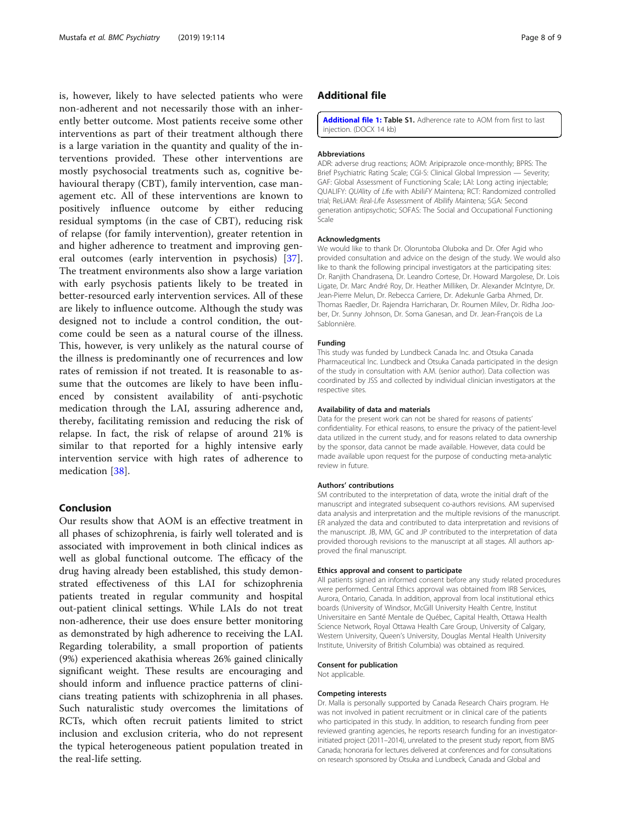<span id="page-7-0"></span>is, however, likely to have selected patients who were non-adherent and not necessarily those with an inherently better outcome. Most patients receive some other interventions as part of their treatment although there is a large variation in the quantity and quality of the interventions provided. These other interventions are mostly psychosocial treatments such as, cognitive behavioural therapy (CBT), family intervention, case management etc. All of these interventions are known to positively influence outcome by either reducing residual symptoms (in the case of CBT), reducing risk of relapse (for family intervention), greater retention in and higher adherence to treatment and improving general outcomes (early intervention in psychosis) [[37](#page-8-0)]. The treatment environments also show a large variation with early psychosis patients likely to be treated in better-resourced early intervention services. All of these are likely to influence outcome. Although the study was designed not to include a control condition, the outcome could be seen as a natural course of the illness. This, however, is very unlikely as the natural course of the illness is predominantly one of recurrences and low rates of remission if not treated. It is reasonable to assume that the outcomes are likely to have been influenced by consistent availability of anti-psychotic medication through the LAI, assuring adherence and, thereby, facilitating remission and reducing the risk of relapse. In fact, the risk of relapse of around 21% is similar to that reported for a highly intensive early intervention service with high rates of adherence to medication [\[38](#page-8-0)].

# Conclusion

Our results show that AOM is an effective treatment in all phases of schizophrenia, is fairly well tolerated and is associated with improvement in both clinical indices as well as global functional outcome. The efficacy of the drug having already been established, this study demonstrated effectiveness of this LAI for schizophrenia patients treated in regular community and hospital out-patient clinical settings. While LAIs do not treat non-adherence, their use does ensure better monitoring as demonstrated by high adherence to receiving the LAI. Regarding tolerability, a small proportion of patients (9%) experienced akathisia whereas 26% gained clinically significant weight. These results are encouraging and should inform and influence practice patterns of clinicians treating patients with schizophrenia in all phases. Such naturalistic study overcomes the limitations of RCTs, which often recruit patients limited to strict inclusion and exclusion criteria, who do not represent the typical heterogeneous patient population treated in the real-life setting.

# Additional file

[Additional file 1:](https://doi.org/10.1186/s12888-019-2103-x) Table S1. Adherence rate to AOM from first to last injection. (DOCX 14 kb)

#### Abbreviations

ADR: adverse drug reactions; AOM: Aripiprazole once-monthly; BPRS: The Brief Psychiatric Rating Scale; CGI-S: Clinical Global Impression — Severity; GAF: Global Assessment of Functioning Scale; LAI: Long acting injectable; QUALIFY: QUAlity of LIfe with AbiliFY Maintena; RCT: Randomized controlled trial; ReLiAM: Real-Life Assessment of Abilify Maintena; SGA: Second generation antipsychotic; SOFAS: The Social and Occupational Functioning Scale

#### Acknowledgments

We would like to thank Dr. Oloruntoba Oluboka and Dr. Ofer Agid who provided consultation and advice on the design of the study. We would also like to thank the following principal investigators at the participating sites: Dr. Ranjith Chandrasena, Dr. Leandro Cortese, Dr. Howard Margolese, Dr. Lois Ligate, Dr. Marc André Roy, Dr. Heather Milliken, Dr. Alexander McIntyre, Dr. Jean-Pierre Melun, Dr. Rebecca Carriere, Dr. Adekunle Garba Ahmed, Dr. Thomas Raedler, Dr. Rajendra Harricharan, Dr. Roumen Milev, Dr. Ridha Joober, Dr. Sunny Johnson, Dr. Soma Ganesan, and Dr. Jean-François de La Sablonnière.

#### Funding

This study was funded by Lundbeck Canada Inc. and Otsuka Canada Pharmaceutical Inc. Lundbeck and Otsuka Canada participated in the design of the study in consultation with A.M. (senior author). Data collection was coordinated by JSS and collected by individual clinician investigators at the respective sites.

#### Availability of data and materials

Data for the present work can not be shared for reasons of patients' confidentiality. For ethical reasons, to ensure the privacy of the patient-level data utilized in the current study, and for reasons related to data ownership by the sponsor, data cannot be made available. However, data could be made available upon request for the purpose of conducting meta-analytic review in future.

#### Authors' contributions

SM contributed to the interpretation of data, wrote the initial draft of the manuscript and integrated subsequent co-authors revisions. AM supervised data analysis and interpretation and the multiple revisions of the manuscript. ER analyzed the data and contributed to data interpretation and revisions of the manuscript. JB, MM, GC and JP contributed to the interpretation of data provided thorough revisions to the manuscript at all stages. All authors approved the final manuscript.

#### Ethics approval and consent to participate

All patients signed an informed consent before any study related procedures were performed. Central Ethics approval was obtained from IRB Services, Aurora, Ontario, Canada. In addition, approval from local institutional ethics boards (University of Windsor, McGill University Health Centre, Institut Universitaire en Santé Mentale de Québec, Capital Health, Ottawa Health Science Network, Royal Ottawa Health Care Group, University of Calgary, Western University, Queen's University, Douglas Mental Health University Institute, University of British Columbia) was obtained as required.

#### Consent for publication

Not applicable.

#### Competing interests

Dr. Malla is personally supported by Canada Research Chairs program. He was not involved in patient recruitment or in clinical care of the patients who participated in this study. In addition, to research funding from peer reviewed granting agencies, he reports research funding for an investigatorinitiated project (2011–2014), unrelated to the present study report, from BMS Canada; honoraria for lectures delivered at conferences and for consultations on research sponsored by Otsuka and Lundbeck, Canada and Global and